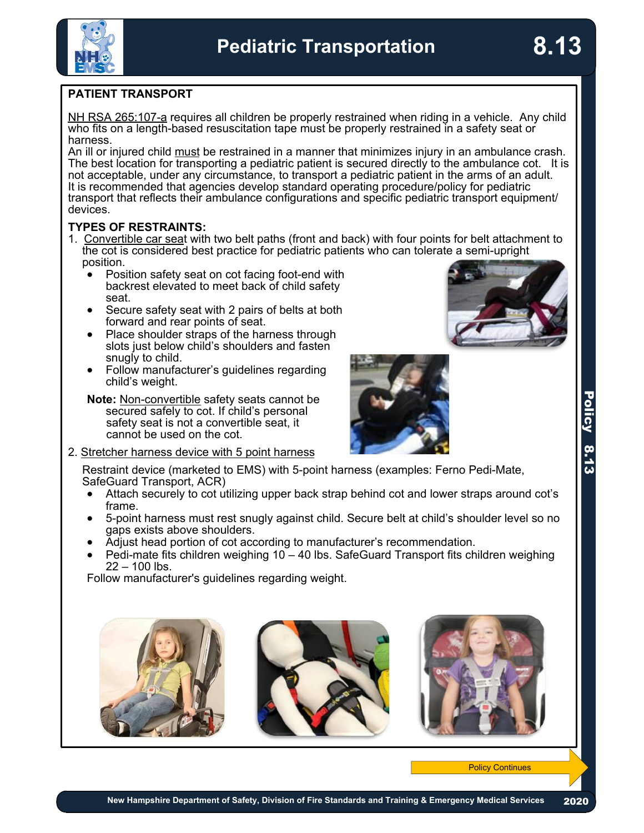# **PATIENT TRANSPORT**

[NH RSA 265:107-a](http://www.gencourt.state.nh.us/rsa/html/xxi/265/265-107-a.htm#:~:text=I.,is%20properly%20adjusted%20and%20fastened.) requires all children be properly restrained when riding in a vehicle. Any child who fits on a length-based resuscitation tape must be properly restrained in a safety seat or harness.

An ill or injured child must be restrained in a manner that minimizes injury in an ambulance crash. The best location for transporting a pediatric patient is secured directly to the ambulance cot. It is not acceptable, under any circumstance, to transport a pediatric patient in the arms of an adult. It is recommended that agencies develop standard operating procedure/policy for pediatric transport that reflects their ambulance configurations and specific pediatric transport equipment/ devices.

### **TYPES OF RESTRAINTS:**

- 1. Convertible car seat with two belt paths (front and back) with four points for belt attachment to the cot is considered best practice for pediatric patients who can tolerate a semi-upright position.
	- Position safety seat on cot facing foot-end with backrest elevated to meet back of child safety
	- Secure safety seat with 2 pairs of belts at both forward and rear points of seat.
	- Place shoulder straps of the harness through slots just below child's shoulders and fasten<br>snugly to child.
	- Follow manufacturer's guidelines regarding child's weight.

**Note:** Non-convertible safety seats cannot be secured safely to cot. If child's personal safety seat is not a convertible seat, it cannot be used on the cot.

2. Stretcher harness device with 5 point harness



Restraint device (marketed to EMS) with 5-point harness (examples: Ferno Pedi-Mate, SafeGuard Transport, ACR)

- · Attach securely to cot utilizing upper back strap behind cot and lower straps around cot's
- 5-point harness must rest snugly against child. Secure belt at child's shoulder level so no<br>gaps exists above shoulders.
- 
- Adjust head portion of cot according to manufacturer's recommendation.<br>Pedi-mate fits children weighing 10 40 lbs. SafeGuard Transport fits children weighing  $22 - 100$  lbs.

Follow manufacturer's guidelines regarding weight.





**Policy Continues** 

8.13

**8.13**

 $\mathcal{L}$ 2020